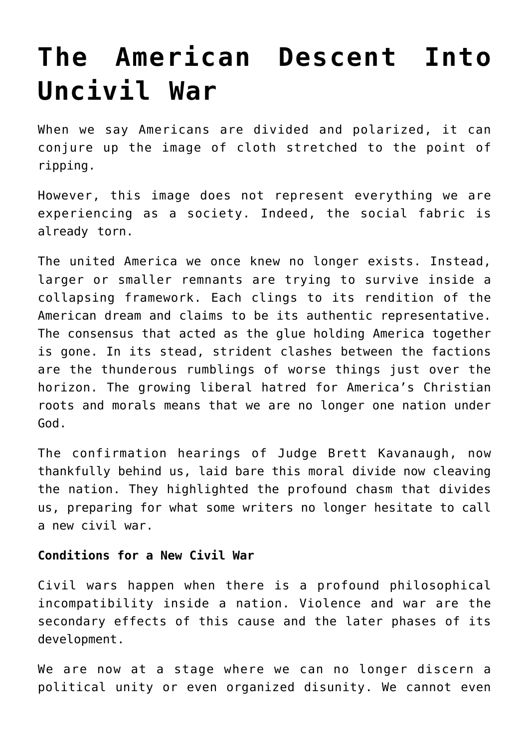# **[The American Descent Into](https://intellectualtakeout.org/2018/10/the-american-descent-into-uncivil-war/) [Uncivil War](https://intellectualtakeout.org/2018/10/the-american-descent-into-uncivil-war/)**

When we say Americans are divided and polarized, it can conjure up the image of cloth stretched to the point of ripping.

However, this image does not represent everything we are experiencing as a society. Indeed, the social fabric is already torn.

The united America we once knew no longer exists. Instead, larger or smaller remnants are trying to survive inside a collapsing framework. Each clings to its rendition of the American dream and claims to be its authentic representative. The consensus that acted as the glue holding America together is gone. In its stead, strident clashes between the factions are the thunderous rumblings of worse things just over the horizon. The growing liberal hatred for America's Christian roots and morals means that we are no longer one nation under God.

The confirmation hearings of Judge Brett Kavanaugh, now thankfully behind us, laid bare this moral divide now cleaving the nation. They highlighted the profound chasm that divides us, preparing for what some writers no longer hesitate to call a new civil war.

### **Conditions for a New Civil War**

Civil wars happen when there is a profound philosophical incompatibility inside a nation. Violence and war are the secondary effects of this cause and the later phases of its development.

We are now at a stage where we can no longer discern a political unity or even organized disunity. We cannot even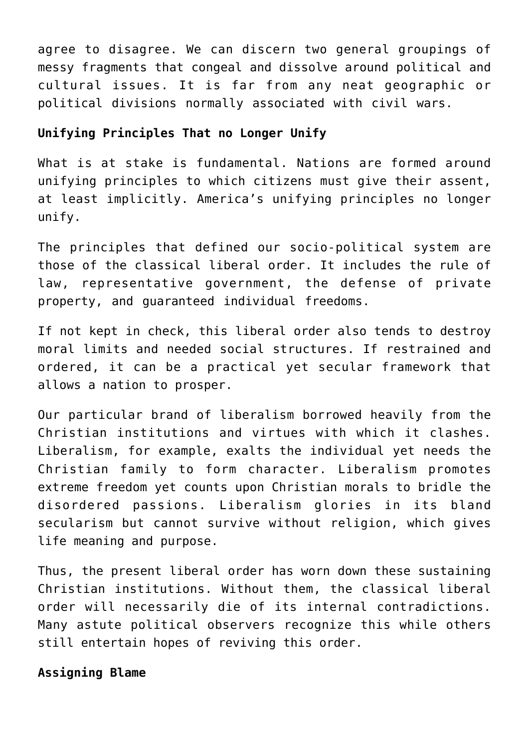agree to disagree. We can discern two general groupings of messy fragments that congeal and dissolve around political and cultural issues. It is far from any neat geographic or political divisions normally associated with civil wars.

# **Unifying Principles That no Longer Unify**

What is at stake is fundamental. Nations are formed around unifying principles to which citizens must give their assent, at least implicitly. America's unifying principles no longer unify.

The principles that defined our socio-political system are those of the classical liberal order. It includes the rule of law, representative government, the defense of private property, and guaranteed individual freedoms.

If not kept in check, this liberal order also tends to destroy moral limits and needed social structures. If restrained and ordered, it can be a practical yet secular framework that allows a nation to prosper.

Our particular brand of liberalism borrowed heavily from the Christian institutions and virtues with which it clashes. Liberalism, for example, exalts the individual yet needs the Christian family to form character. Liberalism promotes extreme freedom yet counts upon Christian morals to bridle the disordered passions. Liberalism glories in its bland secularism but cannot survive without religion, which gives life meaning and purpose.

Thus, the present liberal order has worn down these sustaining Christian institutions. Without them, the classical liberal order will necessarily die of its internal contradictions. Many astute political observers recognize this while others still entertain hopes of reviving this order.

# **Assigning Blame**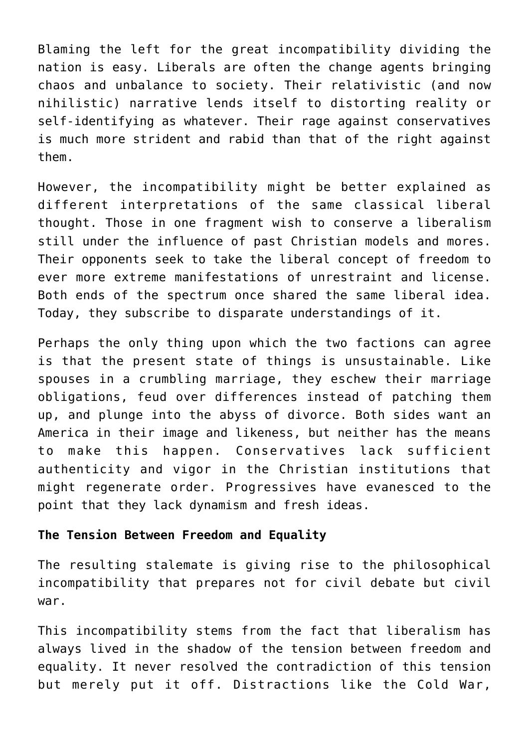Blaming the left for the great incompatibility dividing the nation is easy. Liberals are often the change agents bringing chaos and unbalance to society. Their relativistic (and now nihilistic) narrative lends itself to distorting reality or self-identifying as whatever. Their rage against conservatives is much more strident and rabid than that of the right against them.

However, the incompatibility might be better explained as different interpretations of the same classical liberal thought. Those in one fragment wish to conserve a liberalism still under the influence of past Christian models and mores. Their opponents seek to take the liberal concept of freedom to ever more extreme manifestations of unrestraint and license. Both ends of the spectrum once shared the same liberal idea. Today, they subscribe to disparate understandings of it.

Perhaps the only thing upon which the two factions can agree is that the present state of things is unsustainable. Like spouses in a crumbling marriage, they eschew their marriage obligations, feud over differences instead of patching them up, and plunge into the abyss of divorce. Both sides want an America in their image and likeness, but neither has the means to make this happen. Conservatives lack sufficient authenticity and vigor in the Christian institutions that might regenerate order. Progressives have evanesced to the point that they lack dynamism and fresh ideas.

## **The Tension Between Freedom and Equality**

The resulting stalemate is giving rise to the philosophical incompatibility that prepares not for civil debate but civil war.

This incompatibility stems from the fact that liberalism has always lived in the shadow of the tension between freedom and equality. It never resolved the contradiction of this tension but merely put it off. Distractions like the Cold War,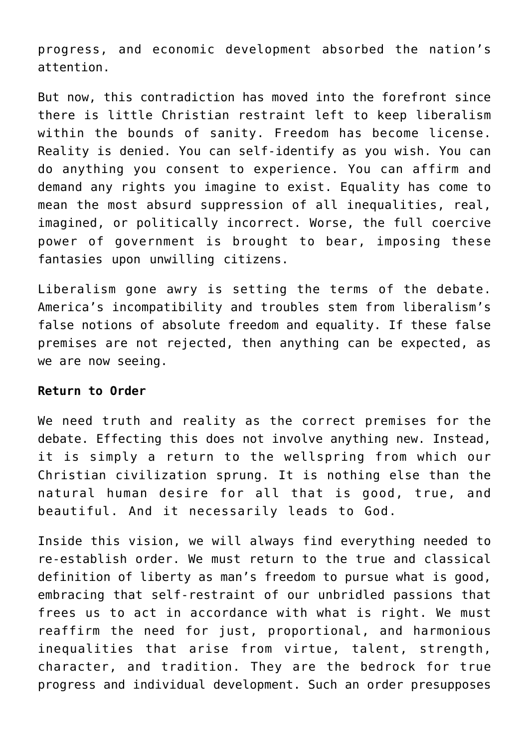progress, and economic development absorbed the nation's attention.

But now, this contradiction has moved into the forefront since there is little Christian restraint left to keep liberalism within the bounds of sanity. Freedom has become license. Reality is denied. You can self-identify as you wish. You can do anything you consent to experience. You can affirm and demand any rights you imagine to exist. Equality has come to mean the most absurd suppression of all inequalities, real, imagined, or politically incorrect. Worse, the full coercive power of government is brought to bear, imposing these fantasies upon unwilling citizens.

Liberalism gone awry is setting the terms of the debate. America's incompatibility and troubles stem from liberalism's false notions of absolute freedom and equality. If these false premises are not rejected, then anything can be expected, as we are now seeing.

#### **Return to Order**

We need truth and reality as the correct premises for the debate. Effecting this does not involve anything new. Instead, it is simply a return to the wellspring from which our Christian civilization sprung. It is nothing else than the natural human desire for all that is good, true, and beautiful. And it necessarily leads to God.

Inside this vision, we will always find everything needed to re-establish order. We must return to the true and classical definition of liberty as man's freedom to pursue what is good, embracing that self-restraint of our unbridled passions that frees us to act in accordance with what is right. We must reaffirm the need for just, proportional, and harmonious inequalities that arise from virtue, talent, strength, character, and tradition. They are the bedrock for true progress and individual development. Such an order presupposes